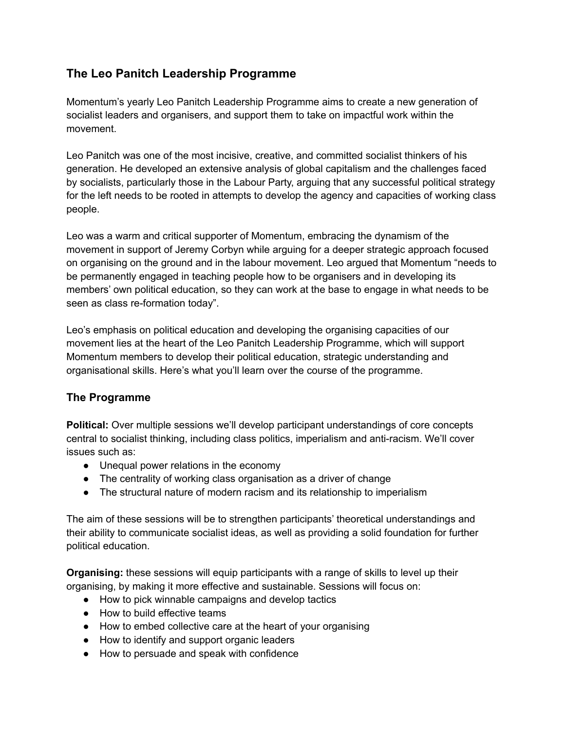# **The Leo Panitch Leadership Programme**

Momentum's yearly Leo Panitch Leadership Programme aims to create a new generation of socialist leaders and organisers, and support them to take on impactful work within the movement.

Leo Panitch was one of the most incisive, creative, and committed socialist thinkers of his generation. He developed an extensive analysis of global capitalism and the challenges faced by socialists, particularly those in the Labour Party, arguing that any successful political strategy for the left needs to be rooted in attempts to develop the agency and capacities of working class people.

Leo was a warm and critical supporter of Momentum, embracing the dynamism of the movement in support of Jeremy Corbyn while arguing for a deeper strategic approach focused on organising on the ground and in the labour movement. Leo argued that Momentum "needs to be permanently engaged in teaching people how to be organisers and in developing its members' own political education, so they can work at the base to engage in what needs to be seen as class re-formation today".

Leo's emphasis on political education and developing the organising capacities of our movement lies at the heart of the Leo Panitch Leadership Programme, which will support Momentum members to develop their political education, strategic understanding and organisational skills. Here's what you'll learn over the course of the programme.

# **The Programme**

**Political:** Over multiple sessions we'll develop participant understandings of core concepts central to socialist thinking, including class politics, imperialism and anti-racism. We'll cover issues such as:

- Unequal power relations in the economy
- The centrality of working class organisation as a driver of change
- The structural nature of modern racism and its relationship to imperialism

The aim of these sessions will be to strengthen participants' theoretical understandings and their ability to communicate socialist ideas, as well as providing a solid foundation for further political education.

**Organising:** these sessions will equip participants with a range of skills to level up their organising, by making it more effective and sustainable. Sessions will focus on:

- How to pick winnable campaigns and develop tactics
- How to build effective teams
- How to embed collective care at the heart of your organising
- How to identify and support organic leaders
- How to persuade and speak with confidence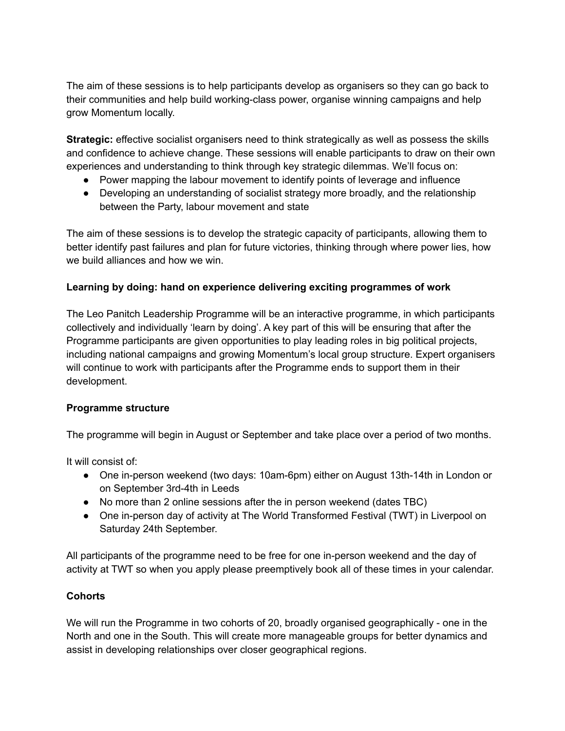The aim of these sessions is to help participants develop as organisers so they can go back to their communities and help build working-class power, organise winning campaigns and help grow Momentum locally.

**Strategic:** effective socialist organisers need to think strategically as well as possess the skills and confidence to achieve change. These sessions will enable participants to draw on their own experiences and understanding to think through key strategic dilemmas. We'll focus on:

- Power mapping the labour movement to identify points of leverage and influence
- Developing an understanding of socialist strategy more broadly, and the relationship between the Party, labour movement and state

The aim of these sessions is to develop the strategic capacity of participants, allowing them to better identify past failures and plan for future victories, thinking through where power lies, how we build alliances and how we win.

# **Learning by doing: hand on experience delivering exciting programmes of work**

The Leo Panitch Leadership Programme will be an interactive programme, in which participants collectively and individually 'learn by doing'. A key part of this will be ensuring that after the Programme participants are given opportunities to play leading roles in big political projects, including national campaigns and growing Momentum's local group structure. Expert organisers will continue to work with participants after the Programme ends to support them in their development.

# **Programme structure**

The programme will begin in August or September and take place over a period of two months.

It will consist of:

- One in-person weekend (two days: 10am-6pm) either on August 13th-14th in London or on September 3rd-4th in Leeds
- No more than 2 online sessions after the in person weekend (dates TBC)
- One in-person day of activity at The World Transformed Festival (TWT) in Liverpool on Saturday 24th September.

All participants of the programme need to be free for one in-person weekend and the day of activity at TWT so when you apply please preemptively book all of these times in your calendar.

# **Cohorts**

We will run the Programme in two cohorts of 20, broadly organised geographically - one in the North and one in the South. This will create more manageable groups for better dynamics and assist in developing relationships over closer geographical regions.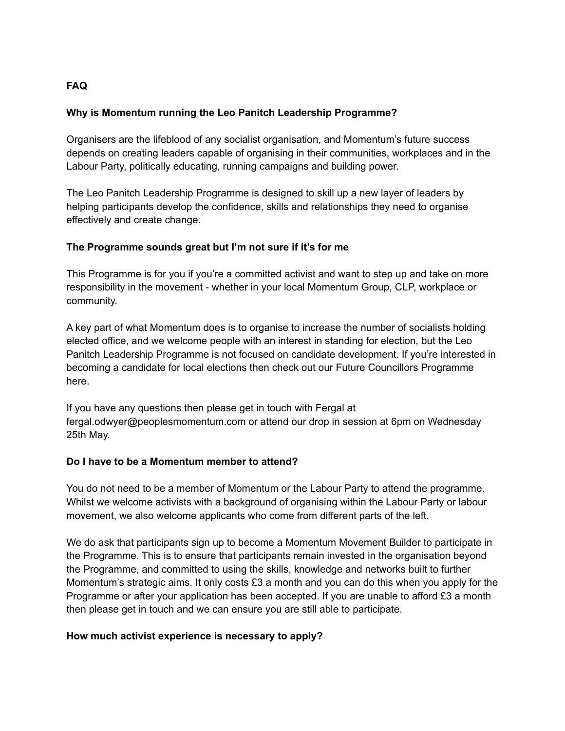# **FAQ**

### **Why is Momentum running the Leo Panitch Leadership Programme?**

Organisers are the lifeblood of any socialist organisation, and Momentum's future success depends on creating leaders capable of organising in their communities, workplaces and in the Labour Party, politically educating, running campaigns and building power.

The Leo Panitch Leadership Programme is designed to skill up a new layer of leaders by helping participants develop the confidence, skills and relationships they need to organise effectively and create change.

### **The Programme sounds great but I'm not sure if it's for me**

This Programme is for you if you're a committed activist and want to step up and take on more responsibility in the movement - whether in your local Momentum Group, CLP, workplace or community.

A key part of what Momentum does is to organise to increase the number of socialists holding elected office, and we welcome people with an interest in standing for election, but the Leo Panitch Leadership Programme is not focused on candidate development. If you're interested in becoming a candidate for local elections then check out our Future Councillors Programme here.

If you have any questions then please get in touch with Fergal at fergal.odwyer@peoplesmomentum.com or attend our drop in session at 6pm on Wednesday 25th May.

#### **Do I have to be a Momentum member to attend?**

You do not need to be a member of Momentum or the Labour Party to attend the programme. Whilst we welcome activists with a background of organising within the Labour Party or labour movement, we also welcome applicants who come from different parts of the left.

We do ask that participants sign up to become a Momentum Movement Builder to participate in the Programme. This is to ensure that participants remain invested in the organisation beyond the Programme, and committed to using the skills, knowledge and networks built to further Momentum's strategic aims. It only costs £3 a month and you can do this when you apply for the Programme or after your application has been accepted. If you are unable to afford £3 a month then please get in touch and we can ensure you are still able to participate.

# **How much activist experience is necessary to apply?**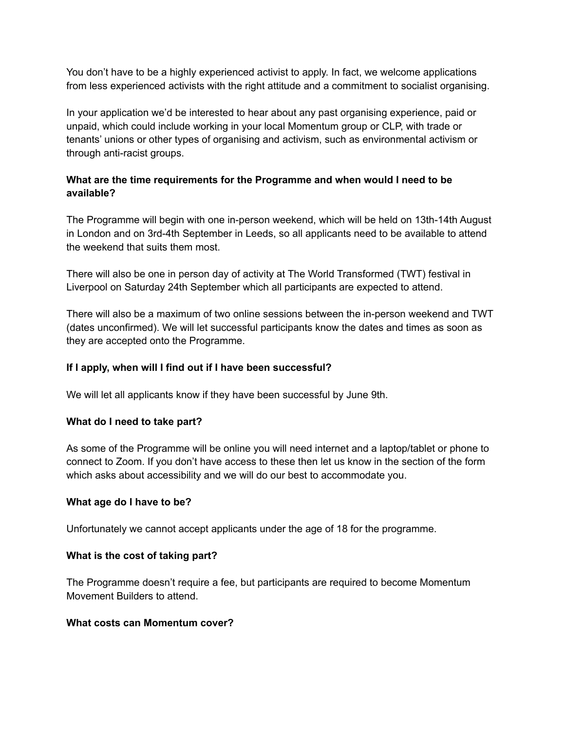You don't have to be a highly experienced activist to apply. In fact, we welcome applications from less experienced activists with the right attitude and a commitment to socialist organising.

In your application we'd be interested to hear about any past organising experience, paid or unpaid, which could include working in your local Momentum group or CLP, with trade or tenants' unions or other types of organising and activism, such as environmental activism or through anti-racist groups.

# **What are the time requirements for the Programme and when would I need to be available?**

The Programme will begin with one in-person weekend, which will be held on 13th-14th August in London and on 3rd-4th September in Leeds, so all applicants need to be available to attend the weekend that suits them most.

There will also be one in person day of activity at The World Transformed (TWT) festival in Liverpool on Saturday 24th September which all participants are expected to attend.

There will also be a maximum of two online sessions between the in-person weekend and TWT (dates unconfirmed). We will let successful participants know the dates and times as soon as they are accepted onto the Programme.

### **If I apply, when will I find out if I have been successful?**

We will let all applicants know if they have been successful by June 9th.

#### **What do I need to take part?**

As some of the Programme will be online you will need internet and a laptop/tablet or phone to connect to Zoom. If you don't have access to these then let us know in the section of the form which asks about accessibility and we will do our best to accommodate you.

#### **What age do I have to be?**

Unfortunately we cannot accept applicants under the age of 18 for the programme.

#### **What is the cost of taking part?**

The Programme doesn't require a fee, but participants are required to become Momentum Movement Builders to attend.

#### **What costs can Momentum cover?**